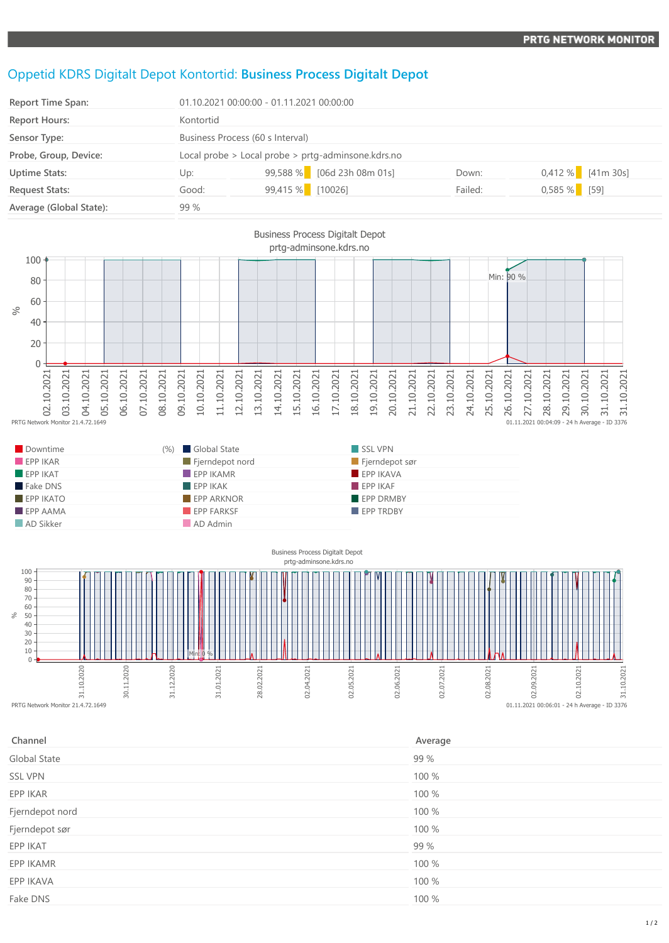## Oppetid KDRS Digitalt Depot Kontortid: **Business Process Digitalt Depot**

| <b>Report Time Span:</b> | $01.10.202100:00:00 - 01.11.202100:00:00$          |                            |  |         |                |                     |
|--------------------------|----------------------------------------------------|----------------------------|--|---------|----------------|---------------------|
| <b>Report Hours:</b>     | Kontortid                                          |                            |  |         |                |                     |
| Sensor Type:             | Business Process (60 s Interval)                   |                            |  |         |                |                     |
| Probe, Group, Device:    | Local probe > Local probe > prtg-adminsone.kdrs.no |                            |  |         |                |                     |
| <b>Uptime Stats:</b>     | Up:                                                | 99,588 % [06d 23h 08m 01s] |  | Down:   |                | $0,412\%$ [41m 30s] |
| <b>Request Stats:</b>    | Good:                                              | 99,415 % [10026]           |  | Failed: | $0,585\%$ [59] |                     |
| Average (Global State):  | 99 %                                               |                            |  |         |                |                     |



| Downtime                | Global State<br>$(%)$          | SSL VPN               |  |
|-------------------------|--------------------------------|-----------------------|--|
| EPPIKAR                 | $\blacksquare$ Fjerndepot nord | $\Box$ Fjerndepot sør |  |
| $EPP$ IKAT              | $EPP$ IKAMR                    | $EPP$ IKAVA           |  |
| Fake DNS                | EPPIKAK                        | FPPIKAF               |  |
| $EPP$ IKATO             | <b>EPP ARKNOR</b>              | <b>EPP DRMBY</b>      |  |
| $\blacksquare$ EPP AAMA | EPP FARKSF                     | <b>EPP TRDBY</b>      |  |
| AD Sikker               | AD Admin                       |                       |  |



| Channel         | Average |
|-----------------|---------|
| Global State    | 99 %    |
| <b>SSL VPN</b>  | 100 %   |
| EPP IKAR        | 100 %   |
| Fjerndepot nord | 100 %   |
| Fjerndepot sør  | 100 %   |
| EPP IKAT        | 99 %    |
| EPP IKAMR       | 100 %   |
| EPP IKAVA       | 100 %   |
| Fake DNS        | 100 %   |